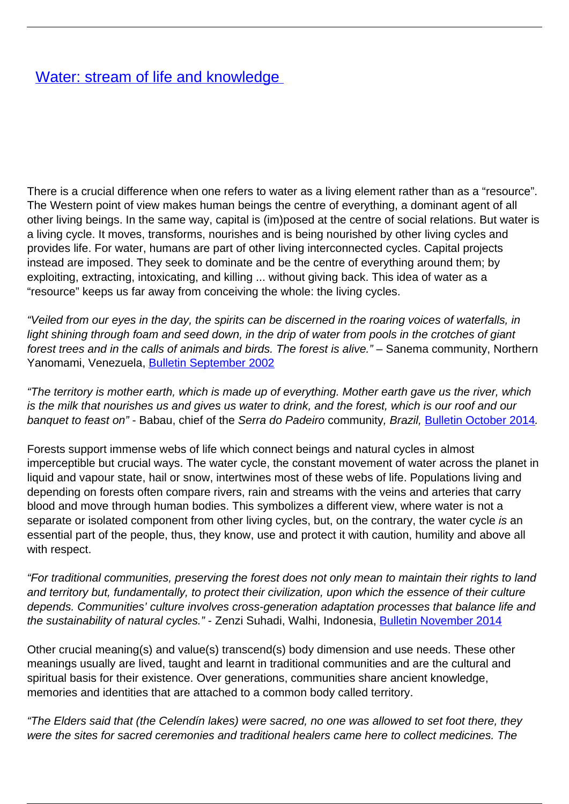## [Water: stream of life and knowledge](/bulletin-articles/water-stream-of-life-and-knowledge)

There is a crucial difference when one refers to water as a living element rather than as a "resource". The Western point of view makes human beings the centre of everything, a dominant agent of all other living beings. In the same way, capital is (im)posed at the centre of social relations. But water is a living cycle. It moves, transforms, nourishes and is being nourished by other living cycles and provides life. For water, humans are part of other living interconnected cycles. Capital projects instead are imposed. They seek to dominate and be the centre of everything around them; by exploiting, extracting, intoxicating, and killing ... without giving back. This idea of water as a "resource" keeps us far away from conceiving the whole: the living cycles.

"Veiled from our eyes in the day, the spirits can be discerned in the roaring voices of waterfalls, in light shining through foam and seed down, in the drip of water from pools in the crotches of giant forest trees and in the calls of animals and birds. The forest is alive." – Sanema community, Northern Yanomami, Venezuela, [Bulletin September 2002](http://wrm.org.uy/oldsite/bulletin/62/AM.html#Venezuela)

"The territory is mother earth, which is made up of everything. Mother earth gave us the river, which is the milk that nourishes us and gives us water to drink, and the forest, which is our roof and our banquet to feast on" - Babau, chief of the Serra do Padeiro community, Brazil, [Bulletin October 2014](http://wrm.org.uy/articles-from-the-wrm-bulletin/section1/brazil-the-struggle-of-the-tupinamba-indigenous-people-to-protect-their-territory-and-the-conservation-of-forests/).

Forests support immense webs of life which connect beings and natural cycles in almost imperceptible but crucial ways. The water cycle, the constant movement of water across the planet in liquid and vapour state, hail or snow, intertwines most of these webs of life. Populations living and depending on forests often compare rivers, rain and streams with the veins and arteries that carry blood and move through human bodies. This symbolizes a different view, where water is not a separate or isolated component from other living cycles, but, on the contrary, the water cycle is an essential part of the people, thus, they know, use and protect it with caution, humility and above all with respect.

"For traditional communities, preserving the forest does not only mean to maintain their rights to land and territory but, fundamentally, to protect their civilization, upon which the essence of their culture depends. Communities' culture involves cross-generation adaptation processes that balance life and the sustainability of natural cycles." - Zenzi Suhadi, Walhi, Indonesia, [Bulletin November 2014](http://wrm.org.uy/articles-from-the-wrm-bulletin/section1/indonesia-forests-are-more-than-land/)

Other crucial meaning(s) and value(s) transcend(s) body dimension and use needs. These other meanings usually are lived, taught and learnt in traditional communities and are the cultural and spiritual basis for their existence. Over generations, communities share ancient knowledge, memories and identities that are attached to a common body called territory.

"The Elders said that (the Celendín lakes) were sacred, no one was allowed to set foot there, they were the sites for sacred ceremonies and traditional healers came here to collect medicines. The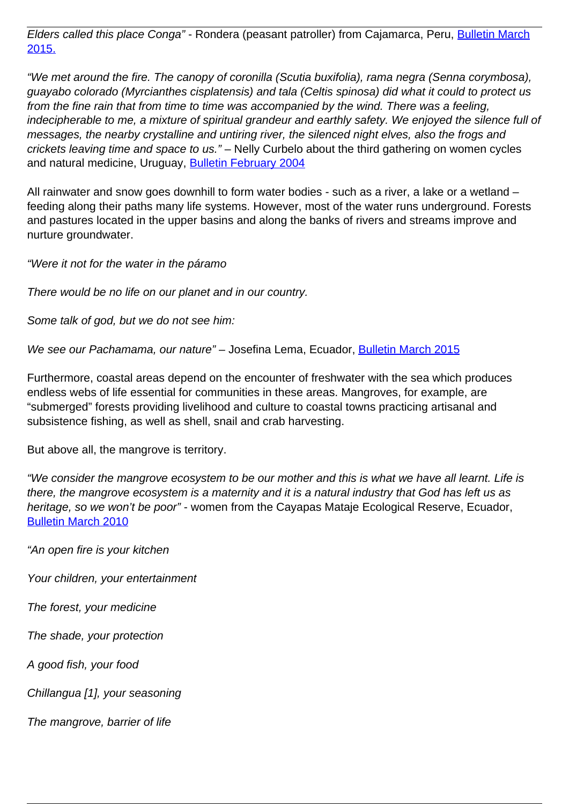Elders called this place Conga" - Rondera (peasant patroller) from Cajamarca, Peru, [Bulletin March](http://wrm.org.uy/articles-from-the-wrm-bulletin/section1/women-defend-mountain-lagoons-and-promote-living-well/) [2015.](http://wrm.org.uy/articles-from-the-wrm-bulletin/section1/women-defend-mountain-lagoons-and-promote-living-well/)

"We met around the fire. The canopy of coronilla (Scutia buxifolia), rama negra (Senna corymbosa), guayabo colorado (Myrcianthes cisplatensis) and tala (Celtis spinosa) did what it could to protect us from the fine rain that from time to time was accompanied by the wind. There was a feeling, indecipherable to me, a mixture of spiritual grandeur and earthly safety. We enjoyed the silence full of messages, the nearby crystalline and untiring river, the silenced night elves, also the frogs and crickets leaving time and space to us." – Nelly Curbelo about the third gathering on women cycles and natural medicine, Uruguay, [Bulletin February 2004](http://wrm.org.uy/oldsite/bulletin/79/forest.html#plants)

All rainwater and snow goes downhill to form water bodies - such as a river, a lake or a wetland – feeding along their paths many life systems. However, most of the water runs underground. Forests and pastures located in the upper basins and along the banks of rivers and streams improve and nurture groundwater.

"Were it not for the water in the páramo

There would be no life on our planet and in our country.

Some talk of god, but we do not see him:

We see our Pachamama, our nature" – Josefina Lema, Ecuador, [Bulletin March 2015](http://wrm.org.uy/articles-from-the-wrm-bulletin/section1/josefina-and-the-water-springs-against-pine-plantations-in-ecuadors-paramos/)

Furthermore, coastal areas depend on the encounter of freshwater with the sea which produces endless webs of life essential for communities in these areas. Mangroves, for example, are "submerged" forests providing livelihood and culture to coastal towns practicing artisanal and subsistence fishing, as well as shell, snail and crab harvesting.

But above all, the mangrove is territory.

"We consider the mangrove ecosystem to be our mother and this is what we have all learnt. Life is there, the mangrove ecosystem is a maternity and it is a natural industry that God has left us as heritage, so we won't be poor" - women from the Cayapas Mataje Ecological Reserve, Ecuador, [Bulletin March 2010](http://wrm.org.uy/articles-from-the-wrm-bulletin/section2/food-sovereignty-in-the-hands-of-mangrove-ecosystem-women/)

"An open fire is your kitchen

Your children, your entertainment

The forest, your medicine

The shade, your protection

A good fish, your food

Chillangua [1], your seasoning

The mangrove, barrier of life